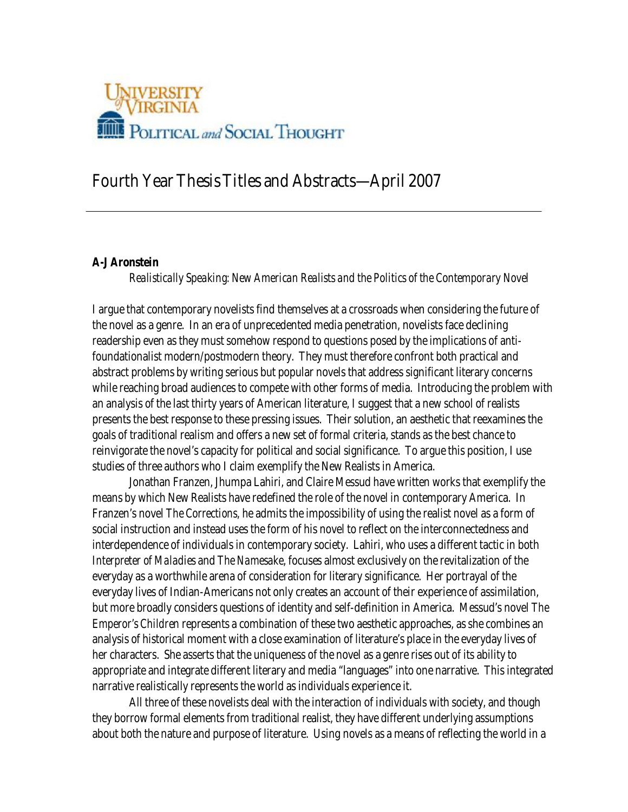

# **Fourth Year Thesis Titles and Abstracts—April 2007**

#### **A-J Aronstein**

*Realistically Speaking: New American Realists and the Politics of the Contemporary Novel* 

I argue that contemporary novelists find themselves at a crossroads when considering the future of the novel as a genre. In an era of unprecedented media penetration, novelists face declining readership even as they must somehow respond to questions posed by the implications of antifoundationalist modern/postmodern theory. They must therefore confront both practical and abstract problems by writing serious but popular novels that address significant literary concerns while reaching broad audiences to compete with other forms of media. Introducing the problem with an analysis of the last thirty years of American literature, I suggest that a new school of realists presents the best response to these pressing issues. Their solution, an aesthetic that reexamines the goals of traditional realism and offers a new set of formal criteria, stands as the best chance to reinvigorate the novel's capacity for political and social significance. To argue this position, I use studies of three authors who I claim exemplify the New Realists in America.

Jonathan Franzen, Jhumpa Lahiri, and Claire Messud have written works that exemplify the means by which New Realists have redefined the role of the novel in contemporary America. In Franzen's novel *The Corrections*, he admits the impossibility of using the realist novel as a form of social instruction and instead uses the form of his novel to reflect on the interconnectedness and interdependence of individuals in contemporary society. Lahiri, who uses a different tactic in both *Interpreter of Maladies* and *The Namesake*, focuses almostexclusively on the revitalization of the everyday as a worthwhile arena of consideration for literary significance. Her portrayal of the everyday lives of Indian-Americans not only creates an account of their experience of assimilation, but more broadly considers questions of identity and self-definition in America. Messud's novel *The Emperor's Children* represents a combination of these two aesthetic approaches, as she combines an analysis of historical moment with a close examination of literature's place in the everyday lives of her characters. She asserts that the uniqueness of the novel as a genre rises out of its ability to appropriate and integrate different literary and media "languages" into one narrative. This integrated narrative realistically represents the world as individuals experience it.

 All three of these novelists deal with the interaction of individuals with society, and though they borrow formal elements from traditional realist, they have different underlying assumptions about both the nature and purpose of literature. Using novels as a means of reflecting the world in a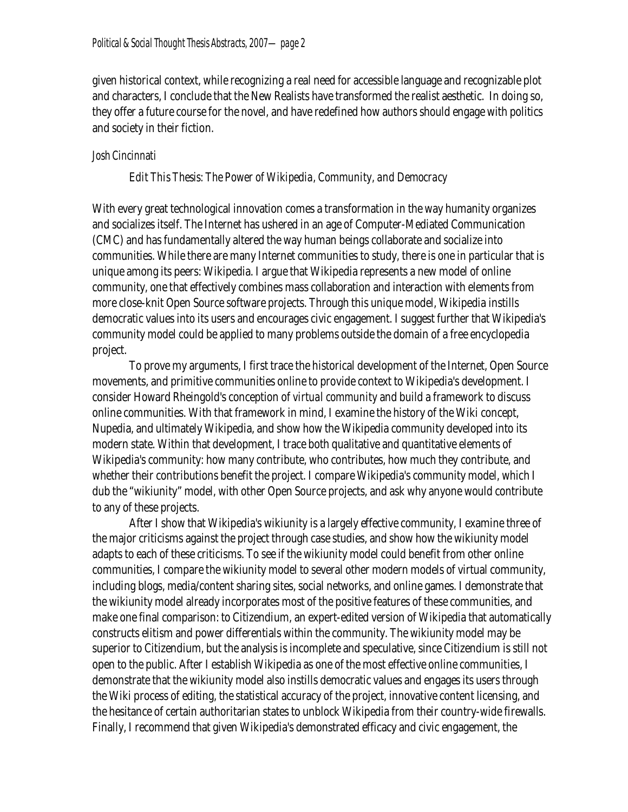given historical context, while recognizing a real need for accessible language and recognizable plot and characters, Iconclude that the New Realists have transformed the realist aesthetic. In doing so, they offer a future course for the novel, and have redefined how authors should engage with politics and society in their fiction.

### **Josh Cincinnati**

## *Edit This Thesis: The Power of Wikipedia, Community, and Democracy*

With every great technological innovation comes a transformation in the way humanity organizes and socializes itself. The Internet has ushered in an age of Computer-Mediated Communication (CMC) and has fundamentally altered the way human beings collaborate and socialize into communities. While there are many Internet communities to study, there is one in particular that is unique among its peers: Wikipedia. I argue that Wikipedia represents a new model of online community, one that effectively combines mass collaboration and interaction with elements from more close-knit Open Source software projects. Through this unique model, Wikipedia instills democratic values into its users and encourages civicengagement. I suggest further that Wikipedia's community model could be applied to many problems outside the domain of a free encyclopedia project.

To prove my arguments, I first trace the historical development of the Internet, Open Source movements, and primitive communities online to provide context to Wikipedia's development. I consider Howard Rheingold's conception of *virtual community* and build a framework to discuss online communities. With that framework in mind, Iexamine the history of the Wiki concept, Nupedia, and ultimately Wikipedia, and show how the Wikipedia community developed into its modern state. Within that development, I trace both qualitative and quantitative elements of Wikipedia's community: how many contribute, who contributes, how much they contribute, and whether their contributions benefit the project. I compare Wikipedia's community model, which I dub the "wikiunity" model, with other Open Source projects, and ask why anyone would contribute to any of these projects.

After I show that Wikipedia's wikiunity is a largely effective community, Iexamine three of the major criticisms against the project through case studies, and show how the wikiunity model adapts to each of these criticisms. To see if the wikiunity model could benefit from other online communities, Icompare the wikiunity model to several other modern models of virtual community, including blogs, media/content sharing sites, social networks, and online games. I demonstrate that the wikiunity model already incorporates most of the positive features of these communities, and make one final comparison: to Citizendium, an expert-edited version of Wikipedia that automatically constructs elitism and power differentials within the community. The wikiunity model may be superior to Citizendium, but the analysis is incomplete and speculative, since Citizendium is still not open to the public. After I establish Wikipedia as one of the most effective online communities, I demonstrate that the wikiunity model also instills democratic values and engages its users through the Wiki process of editing, the statistical accuracy of the project, innovative content licensing, and the hesitance of certain authoritarian states to unblock Wikipedia from their country-wide firewalls. Finally, I recommend that given Wikipedia's demonstrated efficacy and civic engagement, the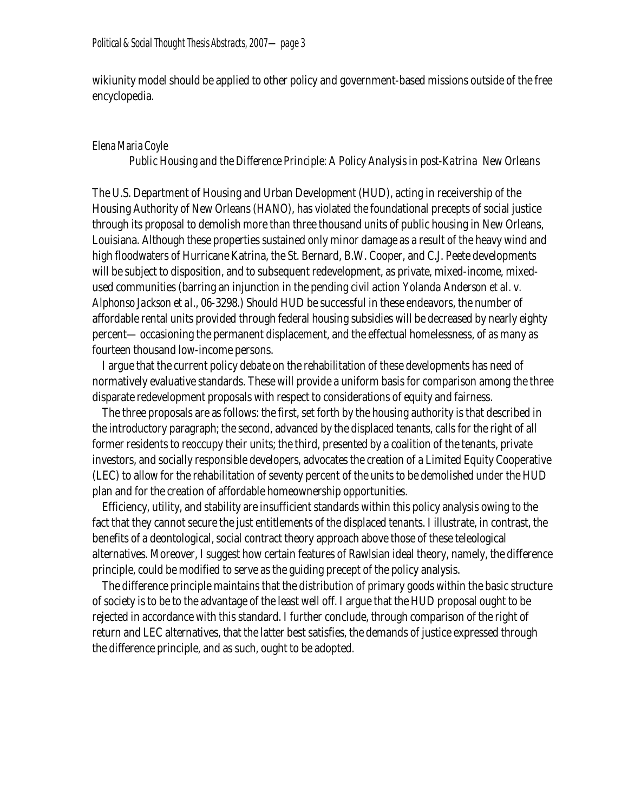wikiunity model should be applied to other policy and government-based missions outside of the free encyclopedia.

### **Elena Maria Coyle**

#### *Public Housing and the Difference Principle: A Policy Analysis in post-Katrina New Orleans*

The U.S. Department of Housing and Urban Development (HUD), acting in receivership of the Housing Authority of New Orleans (HANO), has violated the foundational precepts of social justice through its proposal to demolish more than three thousand units of public housing in New Orleans, Louisiana. Although these properties sustained only minor damage as a result of the heavy wind and high floodwaters of Hurricane Katrina, the St. Bernard, B.W. Cooper, and C.J. Peete developments will be subject to disposition, and to subsequent redevelopment, as private, mixed-income, mixedused communities (barring an injunction in the pending civil action *Yolanda Anderson et al. v. Alphonso Jackson et al.*, 06-3298.) Should HUD be successful in these endeavors, the number of affordable rental units provided through federal housing subsidies will be decreased by nearly eighty percent— occasioning the permanent displacement, and the effectual homelessness, of as many as fourteen thousand low-income persons.

 I argue that the current policy debate on the rehabilitation of these developments has need of normatively evaluative standards. These will provide a uniform basis for comparison among the three disparate redevelopment proposals with respect to considerations of equity and fairness.

 The three proposals are as follows: the first, set forth by the housing authority is that described in the introductory paragraph; the second, advanced by the displaced tenants, calls for the right of all former residents to reoccupy their units; the third, presented by a coalition of the tenants, private investors, and socially responsible developers, advocates the creation of a Limited Equity Cooperative (LEC) to allow for the rehabilitation of seventy percent of the units to be demolished under the HUD plan and for the creation of affordable homeownership opportunities.

 Efficiency, utility, and stability are insufficient standards within this policy analysis owing to the fact that they cannot secure the just entitlements of the displaced tenants. I illustrate, in contrast, the benefits of a deontological, social contract theory approach above those of these teleological alternatives. Moreover, I suggest how certain features of Rawlsian ideal theory, namely, the difference principle, could be modified to serve as the guiding precept of the policy analysis.

 The difference principle maintains that the distribution of primary goods within the basic structure of society is to be to the advantage of the least well off. I argue that the HUD proposal ought to be rejected in accordance with this standard. I further conclude, through comparison of the right of return and LEC alternatives, that the latter best satisfies, the demands of justice expressed through the difference principle, and as such, ought to be adopted.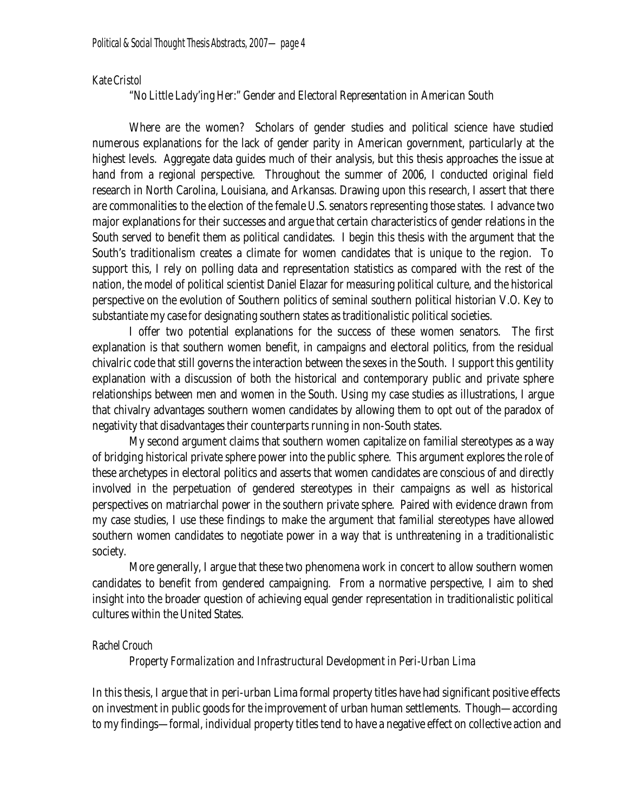#### **Kate Cristol**

### *"No Little Lady'ing Her:" Gender and Electoral Representation in American South*

Where are the women? Scholars of gender studies and political science have studied numerous explanations for the lack of gender parity in American government, particularly at the highest levels. Aggregate data guides much of their analysis, but this thesis approaches the issue at hand from a regional perspective. Throughout the summer of 2006, I conducted original field research in North Carolina, Louisiana, and Arkansas. Drawing upon this research, I assert that there are commonalities to the election of the female U.S. senators representing those states. I advance two major explanations for their successes and argue that certain characteristics of gender relations in the South served to benefit them as political candidates. I begin this thesis with the argument that the South's traditionalism creates a climate for women candidates that is unique to the region. To support this, I rely on polling data and representation statistics as compared with the rest of the nation, the model of political scientist Daniel Elazar for measuring political culture, and the historical perspective on the evolution of Southern politics of seminal southern political historian V.O. Key to substantiate my case for designating southern states as traditionalistic political societies.

I offer two potential explanations for the success of these women senators. The first explanation is that southern women benefit, in campaigns and electoral politics, from the residual chivalric code that still governs the interaction between the sexes in the South. I support this gentility explanation with a discussion of both the historical and contemporary public and private sphere relationships between men and women in the South. Using my case studies as illustrations, I argue that chivalry advantages southern women candidates by allowing them to opt out of the paradox of negativity that disadvantages their counterparts running in non-South states.

My second argument claims that southern women capitalize on familial stereotypes as a way of bridging historical private sphere power into the public sphere. This argument explores the role of these archetypes in electoral politics and asserts that women candidates are conscious of and directly involved in the perpetuation of gendered stereotypes in their campaigns as well as historical perspectives on matriarchal power in the southern private sphere. Paired with evidence drawn from my case studies, I use these findings to make the argument that familial stereotypes have allowed southern women candidates to negotiate power in a way that is unthreatening in a traditionalistic society.

More generally, I argue that these two phenomena work in concert to allow southern women candidates to benefit from gendered campaigning. From a normative perspective, I aim to shed insight into the broader question of achieving equal gender representation in traditionalistic political cultures within the United States.

#### **Rachel Crouch**

#### *Property Formalization and Infrastructural Development in Peri-Urban Lima*

In this thesis, I argue that in peri-urban Lima formal property titles have had significant positive effects on investment in public goods for the improvement of urban human settlements. Though—according to my findings—formal, individual property titles tend to have a negative effect on collective action and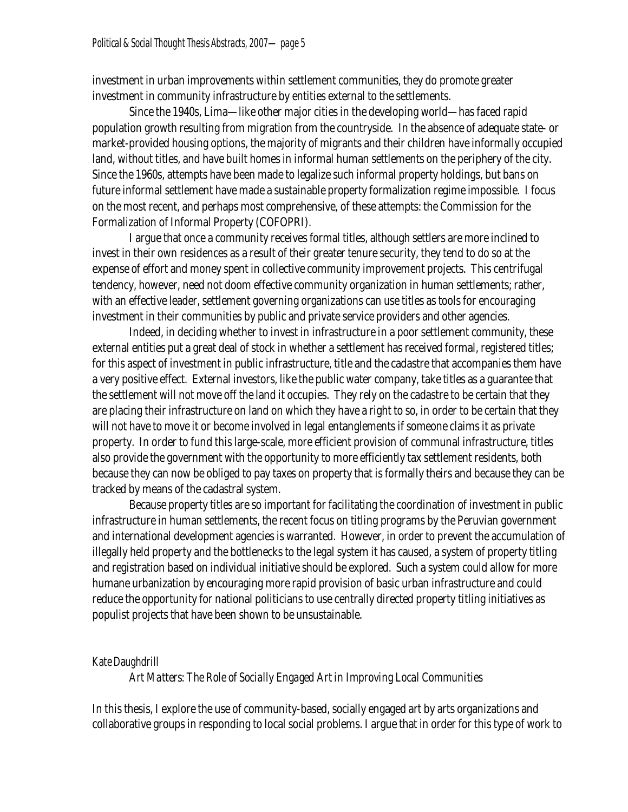investment in urban improvements *within* settlement communities, they do promote greater investment in community infrastructure by entities external to the settlements.

Since the 1940s, Lima—like other major cities in the developing world—has faced rapid population growth resulting from migration from the countryside. In the absence of adequate state- or market-provided housing options, the majority of migrants and their children have informally occupied land, without titles, and have built homes in informal human settlements on the periphery of the city. Since the 1960s, attempts have been made to legalize such informal property holdings, but bans on future informal settlement have made a sustainable property formalization regime impossible. I focus on the most recent, and perhaps most comprehensive, of these attempts: the Commission for the Formalization of Informal Property (COFOPRI).

I argue that once a community receives formal titles, although settlers are more inclined to invest in their own residences as a result of their greater tenure security, they tend to do so at the expense of effort and money spent in collective community improvement projects. This centrifugal tendency, however, need not doom effective community organization in human settlements; rather, with an effective leader, settlement governing organizations can use titles as tools for encouraging investment in their communities by public and private service providers and other agencies.

Indeed, in deciding whether to invest in infrastructure in a poor settlement community, these external entities put a great deal of stock in whether a settlement has received formal, registered titles; for this aspect of investment in public infrastructure, title and the cadastre that accompanies them have a very positive effect. External investors, like the public water company, take titles as a guarantee that the settlement will not move off the land it occupies. They rely on the cadastre to be certain that they are placing their infrastructure on land on which they have a right to so, in order to be certain that they will not have to move it or become involved in legal entanglements if someone claims it as private property. In order to fund this large-scale, more efficient provision of communal infrastructure, titles also provide the government with the opportunity to more efficiently tax settlement residents, both because they can now be obliged to pay taxes on property that is formally theirs and because they can be tracked by means of the cadastral system.

Because property titles are so important for facilitating the coordination of investment in public infrastructure in human settlements, the recent focus on titling programs by the Peruvian government and international development agencies is warranted. However, in order to prevent the accumulation of illegally held property and the bottlenecks to the legal system it has caused, a system of property titling and registration based on individual initiative should be explored. Such a system could allow for more humane urbanization by encouraging more rapid provision of basic urban infrastructure and could reduce the opportunity for national politicians to use centrally directed property titling initiatives as populist projects that have been shown to be unsustainable.

#### **Kate Daughdrill**

*Art Matters: The Role of Socially Engaged Art in Improving Local Communities* 

In this thesis, Iexplore the use of community-based, socially engaged art by arts organizations and collaborative groups in responding to local social problems. I argue that in order for this type of work to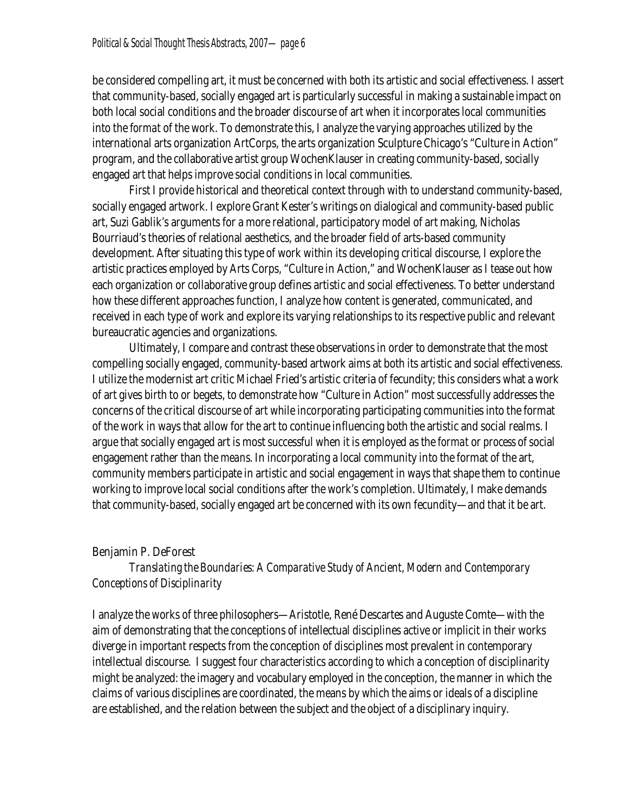be considered compelling art, it must be concerned with both its artistic and social effectiveness. I assert that community-based, socially engaged art is particularly successful in making a sustainable impact on both local social conditions and the broader discourse of art when it incorporates local communities into the *format* of the work. To demonstrate this, I analyze the varying approaches utilized by the international arts organization ArtCorps, the arts organization Sculpture Chicago's "Culture in Action" program, and the collaborative artist group WochenKlauser in creating community-based, socially engaged art that helps improve social conditions in local communities.

First I provide historical and theoretical context through with to understand community-based, socially engaged artwork. Iexplore Grant Kester's writings on dialogical and community-based public art, Suzi Gablik's arguments for a more relational, participatory model of art making, Nicholas Bourriaud's theories of relational aesthetics, and the broader field of arts-based community development. After situating this type of work within its developing critical discourse, I explore the artistic practices employed by Arts Corps, "Culture in Action," and WochenKlauser as I tease out how each organization or collaborative group defines artistic and social effectiveness. To better understand how these different approaches function, I analyze how content is generated, communicated, and received in each type of work and explore its varying relationships to its respective public and relevant bureaucratic agencies and organizations.

Ultimately, Icompare and contrast these observations in order to demonstrate that the most compelling socially engaged, community-based artwork aims at both its artistic and social effectiveness. I utilize the modernist art critic Michael Fried's artistic criteria of fecundity; this considers what a work of art gives birth to or begets, to demonstrate how "Culture in Action" most successfully addresses the concerns of the critical discourse of art while incorporating participating communities into the format of the work in ways that allow for the art to continue influencing both the artistic and social realms. I argue that socially engaged art is most successful when it is employed as the *format* or *process* of social engagement rather than the *means*. In incorporating a local community into the format of the art, community members participate in artistic and social engagement in ways that shape them to continue working to improve local social conditions after the work's completion. Ultimately, I make demands that community-based, socially engaged art be concerned with its own fecundity—and that it be art.

### **Benjamin P. DeForest**

# *Translating the Boundaries: A Comparative Study of Ancient, Modern and Contemporary Conceptions of Disciplinarity*

I analyze the works of three philosophers—Aristotle, René Descartes and Auguste Comte—with the aim of demonstrating that the conceptions of intellectual disciplines active or implicit in their works diverge in important respects from the conception of disciplines most prevalent in contemporary intellectual discourse. I suggest four characteristics according to which a conception of disciplinarity might be analyzed: the imagery and vocabulary employed in the conception, the manner in which the claims of various disciplines are coordinated, the means by which the aims or ideals of a discipline are established, and the relation between the subject and the object of a disciplinary inquiry.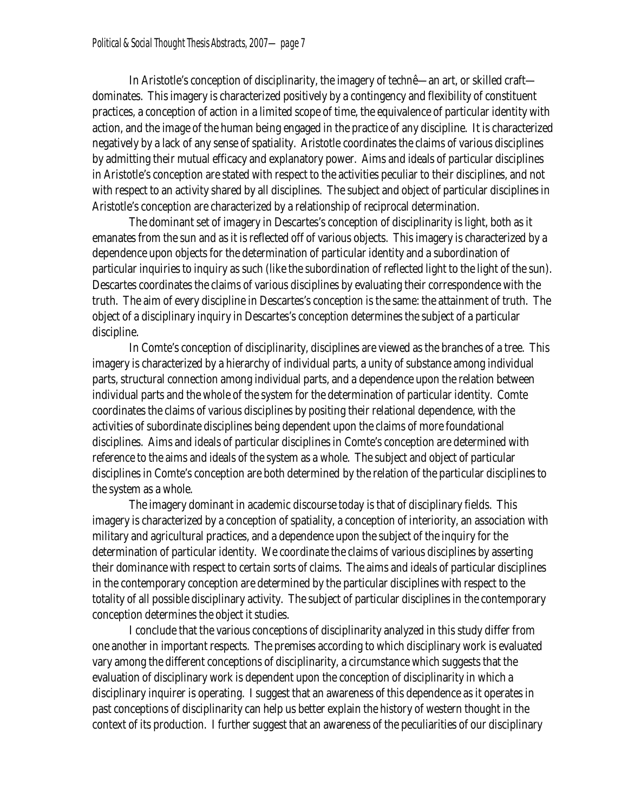In Aristotle's conception of disciplinarity, the imagery of *technê*—an art, or skilled craft dominates. This imagery is characterized positively by a contingency and flexibility of constituent practices, a conception of action in a limited scope of time, the equivalence of particular identity with action, and the image of the human being engaged in the practice of any discipline. It is characterized negatively by a lack of any sense of spatiality. Aristotle coordinates the claims of various disciplines by admitting their mutual efficacy and explanatory power. Aims and ideals of particular disciplines in Aristotle's conception are stated with respect to the activities peculiar to their disciplines, and not with respect to an activity shared by all disciplines. The subject and object of particular disciplines in Aristotle's conception are characterized by a relationship of reciprocal determination.

The dominant set of imagery in Descartes's conception of disciplinarity is light, both as it emanates from the sun and as it is reflected off of various objects. This imagery is characterized by a dependence upon objects for the determination of particular identity and a subordination of particular inquiries to inquiry as such (like the subordination of reflected light to the light of the sun). Descartes coordinates the claims of various disciplines by evaluating their correspondence with the truth. The aim of every discipline in Descartes's conception is the same: the attainment of truth. The object of a disciplinary inquiry in Descartes's conception determines the subject of a particular discipline.

In Comte's conception of disciplinarity, disciplines are viewed as the branches of a tree. This imagery is characterized by a hierarchy of individual parts, a unity of substance among individual parts, structural connection among individual parts, and a dependence upon the relation between individual parts and the whole of the system for the determination of particular identity. Comte coordinates the claims of various disciplines by positing their relational dependence, with the activities of subordinate disciplines being dependent upon the claims of more foundational disciplines. Aims and ideals of particular disciplines in Comte's conception are determined with reference to the aims and ideals of the system as a whole. The subject and object of particular disciplines in Comte's conception are both determined by the relation of the particular disciplines to the system as a whole.

The imagery dominant in academic discourse today is that of disciplinary fields. This imagery is characterized by a conception of spatiality, a conception of interiority, an association with military and agricultural practices, and a dependence upon the subject of the inquiry for the determination of particular identity. We coordinate the claims of various disciplines by asserting their dominance with respect to certain sorts of claims. The aims and ideals of particular disciplines in the contemporary conception are determined by the particular disciplines with respect to the totality of all possible disciplinary activity. The subject of particular disciplines in the contemporary conception determines the object it studies.

Iconclude that the various conceptions of disciplinarity analyzed in this study differ from one another in important respects. The premises according to which disciplinary work is evaluated vary among the different conceptions of disciplinarity, a circumstance which suggests that the evaluation of disciplinary work is dependent upon the conception of disciplinarity in which a disciplinary inquirer is operating. I suggest that an awareness of this dependence as it operates in past conceptions of disciplinarity can help us betterexplain the history of western thought in the context of its production. I further suggest that an awareness of the peculiarities of our disciplinary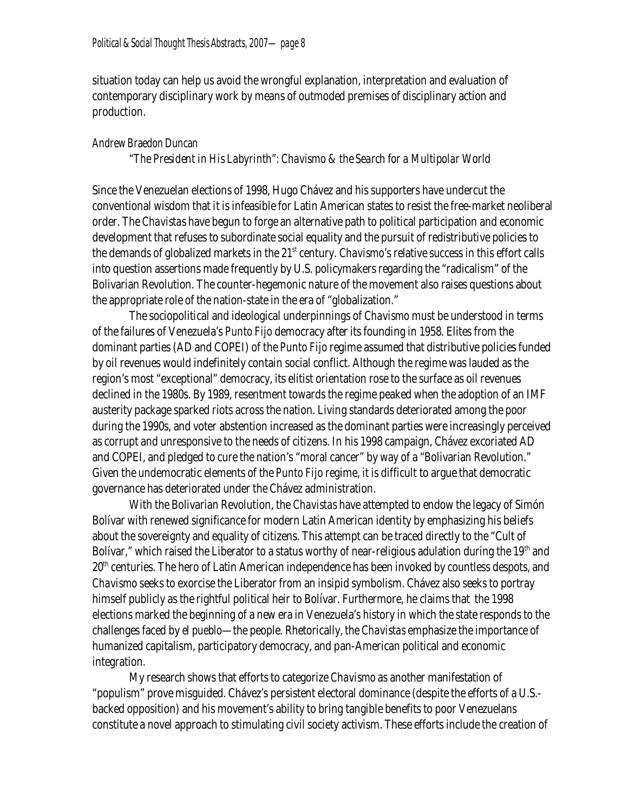situation today can help us avoid the wrongful explanation, interpretation and evaluation of contemporary disciplinary work by means of outmoded premises of disciplinary action and production.

### **Andrew Braedon Duncan**

### *"The President in His Labyrinth": Chavismo & the Search for a Multipolar World*

Since the Venezuelan elections of 1998, Hugo Chávez and his supporters have undercut the conventional wisdom that it is infeasible for Latin American states to resist the free-market neoliberal order. The *Chavistas* have begun to forge an alternative path to political participation and economic development that refuses to subordinate social equality and the pursuit of redistributive policies to the demands of globalized markets in the 21st century. *Chavismo*'s relative success in this effort calls into question assertions made frequently by U.S. policymakers regarding the "radicalism" of the Bolivarian Revolution. The counter-hegemonic nature of the movement also raises questions about the appropriate role of the nation-state in the era of "globalization."

The sociopolitical and ideological underpinnings of *Chavismo* must be understood in terms of the failures of Venezuela's *Punto Fijo* democracy after its founding in 1958. Elites from the dominant parties (AD and COPEI) of the *Punto Fijo* regime assumed that distributive policies funded by oil revenues would indefinitely contain social conflict. Although the regime was lauded as the region's most "exceptional" democracy, its elitist orientation rose to the surface as oil revenues declined in the 1980s. By 1989, resentment towards the regime peaked when the adoption of an IMF austerity package sparked riots across the nation. Living standards deteriorated among the poor during the 1990s, and voter abstention increased as the dominant parties were increasingly perceived as corrupt and unresponsive to the needs of citizens. In his 1998 campaign, Chávez excoriated AD and COPEI, and pledged to cure the nation's "moral cancer" by way of a "Bolivarian Revolution." Given the undemocratic elements of the *Punto Fijo* regime, it is difficult to argue that democratic governance has deteriorated under the Chávez administration.

With the Bolivarian Revolution, the *Chavistas* have attempted to endow the legacy of Simón Bolívar with renewed significance for modern Latin American identity by emphasizing his beliefs about the sovereignty and equality of citizens. This attempt can be traced directly to the "Cult of Bolívar," which raised the Liberator to a status worthy of near-religious adulation during the  $19<sup>th</sup>$  and 20<sup>th</sup> centuries. The hero of Latin American independence has been invoked by countless despots, and *Chavismo* seeks to exorcise the Liberator from an insipid symbolism. Chávez also seeks to portray himself publicly as the rightful political heir to Bolívar. Furthermore, he claims that the 1998 elections marked the beginning of a new era in Venezuela's history in which the state responds to the challenges faced by *el pueblo*—the people. Rhetorically, the *Chavistas* emphasize the importance of humanized capitalism, participatory democracy, and pan-American political and economic integration.

My research shows thatefforts to categorize *Chavismo* as another manifestation of "populism" prove misguided. Chávez's persistent electoral dominance (despite the efforts of a U.S.backed opposition) and his movement's ability to bring tangible benefits to poor Venezuelans constitute a novel approach to stimulating civil society activism. These efforts include the creation of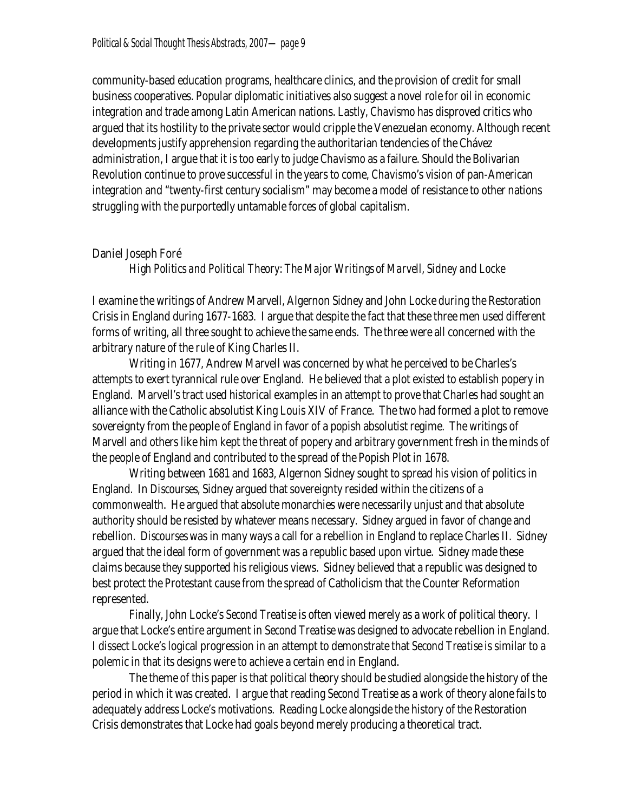community-based education programs, healthcare clinics, and the provision of credit for small business cooperatives. Popular diplomatic initiatives also suggest a novel role for oil in economic integration and trade among Latin American nations. Lastly, *Chavismo* has disproved critics who argued that its hostility to the private sector would cripple the Venezuelan economy. Although recent developments justify apprehension regarding the authoritarian tendencies of the Chávez administration, I argue that it is too early to judge *Chavismo* as a failure. Should the Bolivarian Revolution continue to prove successful in the years to come, *Chavismo*'s vision of pan-American integration and "twenty-first century socialism" may become a model of resistance to other nations struggling with the purportedly untamable forces of global capitalism.

### **Daniel Joseph Foré**

*High Politics and Political Theory: The Major Writings of Marvell, Sidney and Locke* 

Iexamine the writings of Andrew Marvell, Algernon Sidney and John Locke during the Restoration Crisis in England during 1677-1683. I argue that despite the fact that these three men used different forms of writing, all three sought to achieve the same ends. The three were all concerned with the arbitrary nature of the rule of King Charles II.

Writing in 1677, Andrew Marvell was concerned by what he perceived to be Charles's attempts to exert tyrannical rule over England. He believed that a plot existed to establish popery in England. Marvell's tract used historical examples in an attempt to prove that Charles had sought an alliance with the Catholic absolutist King Louis XIV of France. The two had formed a plot to remove sovereignty from the people of England in favor of a popish absolutist regime. The writings of Marvell and others like him kept the threat of popery and arbitrary government fresh in the minds of the people of England and contributed to the spread of the Popish Plot in 1678.

Writing between 1681 and 1683, Algernon Sidney sought to spread his vision of politics in England. In *Discourses,* Sidney argued that sovereignty resided within the citizens of a commonwealth. He argued that absolute monarchies were necessarily unjust and that absolute authority should be resisted by whatever means necessary. Sidney argued in favor of change and rebellion. *Discourses* was in many ways a call for a rebellion in England to replace Charles II. Sidney argued that the ideal form of government was a republic based upon virtue. Sidney made these claims because they supported his religious views. Sidney believed that a republic was designed to best protect the Protestant cause from the spread of Catholicism that the Counter Reformation represented.

Finally, John Locke's *Second Treatise* is often viewed merely as a work of political theory. I argue that Locke's entire argument in *Second Treatise* was designed to advocate rebellion in England. I dissect Locke's logical progression in an attempt to demonstrate that *Second Treatise* is similar to a polemic in that its designs were to achieve a certain end in England.

The theme of this paper is that political theory should be studied alongside the history of the period in which it was created. I argue that reading *Second Treatise* as a work of theory alone fails to adequately address Locke's motivations. Reading Locke alongside the history of the Restoration Crisis demonstrates that Locke had goals beyond merely producing a theoretical tract.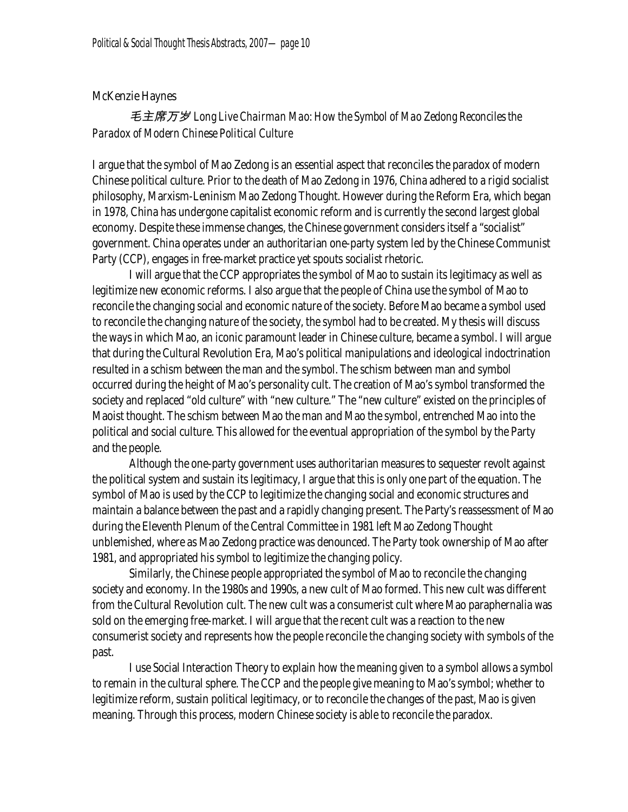# **McKenzie Haynes**

# *毛主席万岁 Long Live Chairman Mao: How the Symbol of Mao Zedong Reconciles the Paradox of Modern Chinese Political Culture*

I argue that the symbol of Mao Zedong is an essential aspect that reconciles the paradox of modern Chinese political culture. Prior to the death of Mao Zedong in 1976, China adhered to a rigid socialist philosophy, Marxism-Leninism Mao Zedong Thought. However during the Reform Era, which began in 1978, China has undergone capitalist economic reform and is currently the second largest global economy. Despite these immense changes, the Chinese government considers itself a "socialist" government. China operates under an authoritarian one-party system led by the Chinese Communist Party (CCP), engages in free-market practice yet spouts socialist rhetoric.

I will argue that the CCP appropriates the symbol of Mao to sustain its legitimacy as well as legitimize new economic reforms. I also argue that the people of China use the symbol of Mao to reconcile the changing social and economic nature of the society. Before Mao became a symbol used to reconcile the changing nature of the society, the symbol had to be created. My thesis will discuss the ways in which Mao, an iconic paramount leader in Chinese culture, became a symbol. I will argue that during the Cultural Revolution Era, Mao's political manipulations and ideological indoctrination resulted in a schism between the man and the symbol. The schism between man and symbol occurred during the height of Mao's personality cult. The creation of Mao's symbol transformed the society and replaced "old culture" with "new culture." The "new culture" existed on the principles of Maoist thought. The schism between Mao the man and Mao the symbol, entrenched Mao into the political and social culture. This allowed for the eventual appropriation of the symbol by the Party and the people.

Although the one-party government uses authoritarian measures to sequester revolt against the political system and sustain its legitimacy, I argue that this is only one part of the equation. The symbol of Mao is used by the CCP to legitimize the changing social and economic structures and maintain a balance between the past and a rapidly changing present. The Party's reassessment of Mao during the Eleventh Plenum of the Central Committee in 1981 left Mao Zedong Thought unblemished, where as Mao Zedong practice was denounced. The Party took ownership of Mao after 1981, and appropriated his symbol to legitimize the changing policy.

Similarly, the Chinese people appropriated the symbol of Mao to reconcile the changing society and economy. In the 1980s and 1990s, a new cult of Mao formed. This new cult was different from the Cultural Revolution cult. The new cult was a consumerist cult where Mao paraphernalia was sold on the emerging free-market. I will argue that the recent cult was a reaction to the new consumerist society and represents how the people reconcile the changing society with symbols of the past.

I use Social Interaction Theory to explain how the meaning given to a symbol allows a symbol to remain in the cultural sphere. The CCP and the people give meaning to Mao's symbol; whether to legitimize reform, sustain political legitimacy, or to reconcile the changes of the past, Mao is given meaning. Through this process, modern Chinese society is able to reconcile the paradox.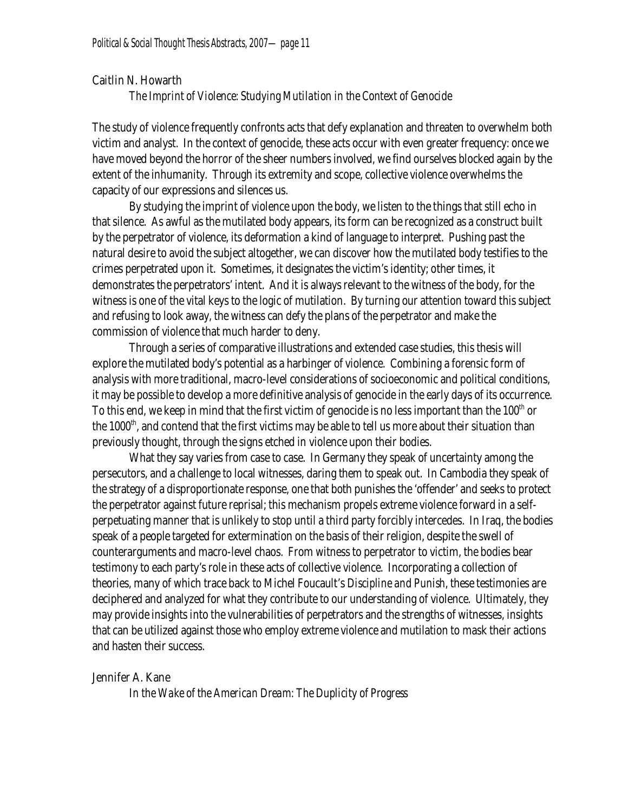#### **Caitlin N. Howarth**

#### *The Imprint of Violence: Studying Mutilation in the Context of Genocide*

The study of violence frequently confronts acts that defy explanation and threaten to overwhelm both victim and analyst. In the context of genocide, these acts occur with even greater frequency: once we have moved beyond the horror of the sheer numbers involved, we find ourselves blocked again by the extent of the inhumanity. Through its extremity and scope, collective violence overwhelms the capacity of our expressions and silences us.

By studying the imprint of violence upon the body, we listen to the things that still echo in that silence. As awful as the mutilated body appears, its form can be recognized as a construct built by the perpetrator of violence, its deformation a kind of language to interpret. Pushing past the natural desire to avoid the subject altogether, we can discover how the mutilated body testifies to the crimes perpetrated upon it. Sometimes, it designates the victim's identity; other times, it demonstrates the perpetrators' intent. And it is always relevant to the witness of the body, for the witness is one of the vital keys to the logic of mutilation. By turning our attention toward this subject and refusing to look away, the witness can defy the plans of the perpetrator and make the commission of violence that much harder to deny.

Through a series of comparative illustrations and extended case studies, this thesis will explore the mutilated body's potential as a harbinger of violence. Combining a forensic form of analysis with more traditional, macro-level considerations of socioeconomic and political conditions, it may be possible to develop a more definitive analysis of genocide in the early days of its occurrence. To this end, we keep in mind that the first victim of genocide is no less important than the 100<sup>th</sup> or the 1000 $^{\rm th}$ , and contend that the first victims may be able to tell us more about their situation than previously thought, through the signs etched in violence upon their bodies.

What they say varies from case to case. In Germany they speak of uncertainty among the persecutors, and a challenge to local witnesses, daring them to speak out. In Cambodia they speak of the strategy of a disproportionate response, one that both punishes the 'offender' and seeks to protect the perpetrator against future reprisal; this mechanism propels extreme violence forward in a selfperpetuating manner that is unlikely to stop until a third party forcibly intercedes. In Iraq, the bodies speak of a people targeted for extermination on the basis of their religion, despite the swell of counterarguments and macro-level chaos. From witness to perpetrator to victim, the bodies bear testimony to each party's role in these acts of collective violence. Incorporating a collection of theories, many of which trace back to Michel Foucault's *Discipline and Punish*, these testimonies are deciphered and analyzed for what they contribute to our understanding of violence. Ultimately, they may provide insights into the vulnerabilities of perpetrators and the strengths of witnesses, insights that can be utilized against those who employ extreme violence and mutilation to mask their actions and hasten their success.

#### **Jennifer A. Kane**

*In the Wake of the American Dream: The Duplicity of Progress*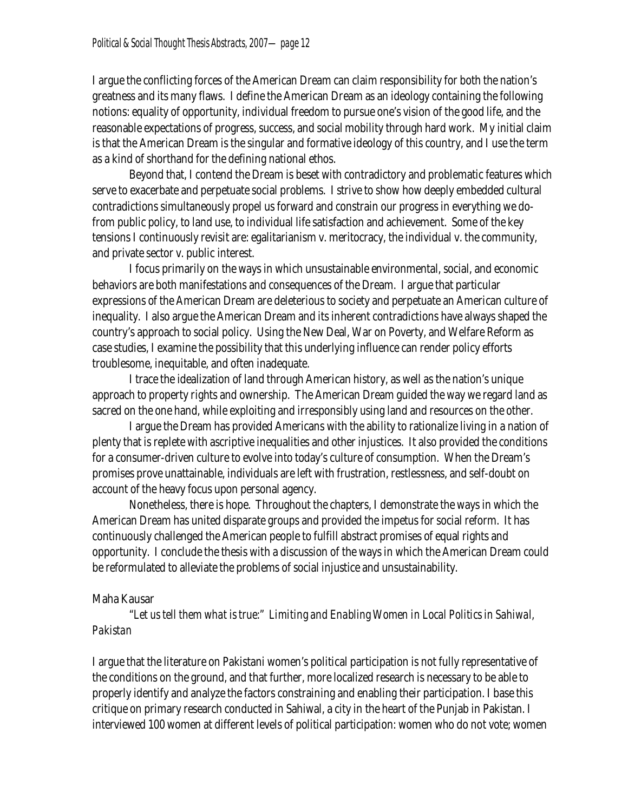I argue the conflicting forces of the American Dream can claim responsibility for both the nation's greatness and its many flaws. I define the American Dream as an ideology containing the following notions: equality of opportunity, individual freedom to pursue one's vision of the good life, and the reasonable expectations of progress, success, and social mobility through hard work. My initial claim is that the American Dream is the singular and formative ideology of this country, and I use the term as a kind of shorthand for the defining national ethos.

Beyond that, I contend the Dream is beset with contradictory and problematic features which serve to exacerbate and perpetuate social problems. I strive to show how deeply embedded cultural contradictions simultaneously propel us forward and constrain our progress in everything we dofrom public policy, to land use, to individual life satisfaction and achievement. Some of the key tensions Icontinuously revisit are: egalitarianism v. meritocracy, the individual v. the community, and private sector v. public interest.

I focus primarily on the ways in which unsustainable environmental, social, and economic behaviors are both manifestations and consequences of the Dream. I argue that particular expressions of the American Dream are deleterious to society and perpetuate an American culture of inequality. I also argue the American Dream and its inherent contradictions have always shaped the country's approach to social policy. Using the New Deal, War on Poverty, and Welfare Reform as case studies, Iexamine the possibility that this underlying influence can render policy efforts troublesome, inequitable, and often inadequate.

I trace the idealization of land through American history, as well as the nation's unique approach to property rights and ownership. The American Dream guided the way we regard land as sacred on the one hand, while exploiting and irresponsibly using land and resources on the other.

I argue the Dream has provided Americans with the ability to rationalize living in a nation of plenty that is replete with ascriptive inequalities and other injustices. It also provided the conditions for a consumer-driven culture to evolve into today's culture of consumption. When the Dream's promises prove unattainable, individuals are left with frustration, restlessness, and self-doubt on account of the heavy focus upon personal agency.

Nonetheless, there is hope. Throughout the chapters, I demonstrate the ways in which the American Dream has united disparate groups and provided the impetus for social reform. It has continuously challenged the American people to fulfill abstract promises of equal rights and opportunity. I conclude the thesis with a discussion of the ways in which the American Dream could be reformulated to alleviate the problems of social injustice and unsustainability.

### **Maha Kausar**

*"Let us tell them what is true:" Limiting and Enabling Women in Local Politics in Sahiwal, Pakistan*

I argue that the literature on Pakistani women's political participation is not fully representative of the conditions on the ground, and that further, more localized research is necessary to be able to properly identify and analyze the factors constraining and enabling their participation. I base this critique on primary research conducted in Sahiwal, a city in the heart of the Punjab in Pakistan. I interviewed 100 women at different levels of political participation: women who do not vote; women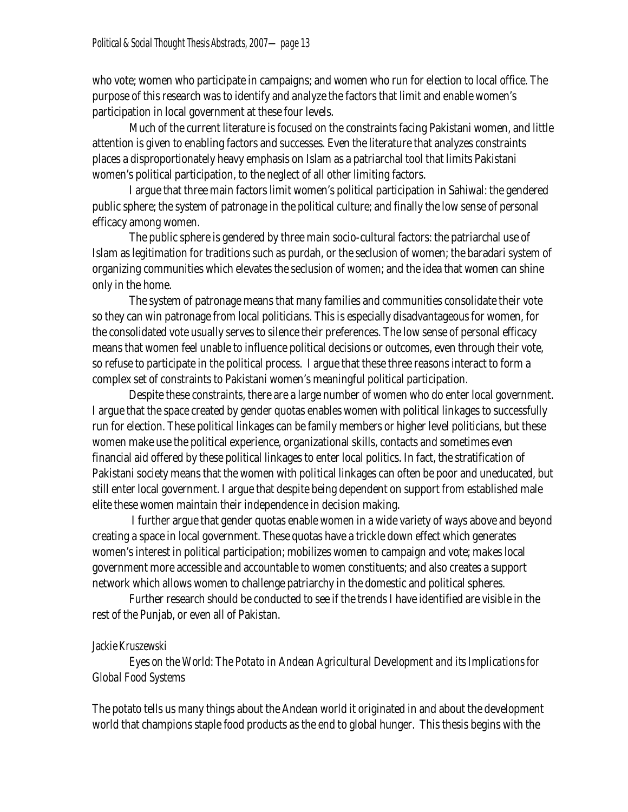who vote; women who participate in campaigns; and women who run forelection to local office. The purpose of this research was to identify and analyze the factors that limit and enable women's participation in local government at these four levels.

 Much of the current literature is focused on the constraints facing Pakistani women, and little attention is given to enabling factors and successes. Even the literature that analyzes constraints places a disproportionately heavy emphasis on Islam as a patriarchal tool that limits Pakistani women's political participation, to the neglect of all other limiting factors.

 I argue that three main factors limit women's political participation in Sahiwal: the gendered public sphere; the system of patronage in the political culture; and finally the low sense of personal efficacy among women.

 The public sphere is gendered by three main socio-cultural factors: the patriarchal use of Islam as legitimation for traditions such as purdah, or the seclusion of women; the baradari system of organizing communities which elevates the seclusion of women; and the idea that women can shine only in the home.

 The system of patronage means that many families and communities consolidate their vote so they can win patronage from local politicians. This is especially disadvantageous for women, for the consolidated vote usually serves to silence their preferences. The low sense of personal efficacy means that women feel unable to influence political decisions or outcomes, even through their vote, so refuse to participate in the political process. I argue that these three reasons interact to form a complex set of constraints to Pakistani women's meaningful political participation.

 Despite these constraints, there are a large number of women who do enter local government. I argue that the space created by gender quotas enables women with political linkages to successfully run for election. These political linkages can be family members or higher level politicians, but these women make use the political experience, organizational skills, contacts and sometimes even financial aid offered by these political linkages to enter local politics. In fact, the stratification of Pakistani society means that the women with political linkages can often be poor and uneducated, but still enter local government. I argue that despite being dependent on support from established male elite these women maintain their independence in decision making.

 I further argue that gender quotas enable women in a wide variety of ways above and beyond creating a space in local government. These quotas have a trickle down effect which generates women's interest in political participation; mobilizes women to campaign and vote; makes local government more accessible and accountable to women constituents; and also creates a support network which allows women to challenge patriarchy in the domestic and political spheres.

Further research should be conducted to see if the trends I have identified are visible in the rest of the Punjab, or even all of Pakistan.

### **Jackie Kruszewski**

*Eyes on the World: The Potato in Andean Agricultural Development and its Implications for Global Food Systems* 

The potato tells us many things about the Andean world it originated in and about the development world that champions staple food products as the end to global hunger. This thesis begins with the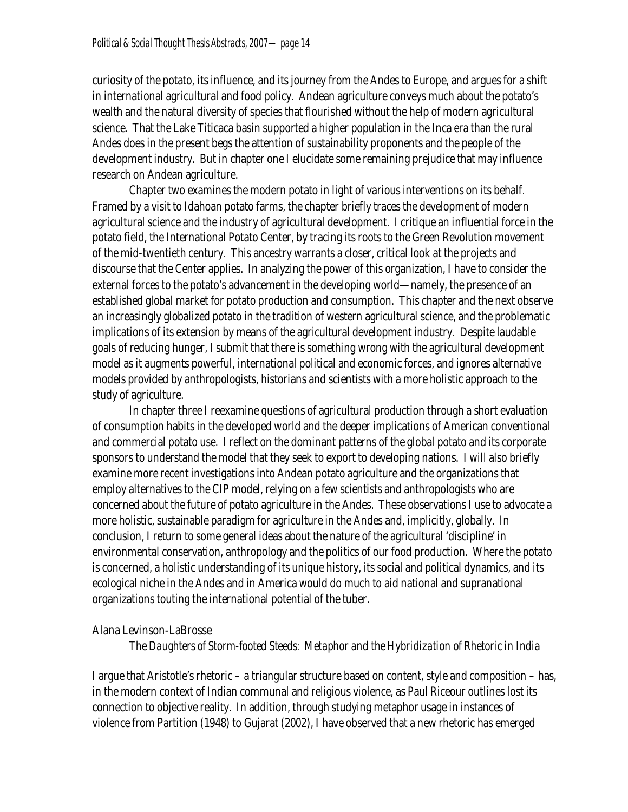curiosity of the potato, its influence, and its journey from the Andes to Europe, and argues for a shift in international agricultural and food policy. Andean agriculture conveys much about the potato's wealth and the natural diversity of species that flourished without the help of modern agricultural science. That the Lake Titicaca basin supported a higher population in the Inca era than the rural Andes does in the present begs the attention of sustainability proponents and the people of the development industry. But in chapter one Ielucidate some remaining prejudice that may influence research on Andean agriculture.

Chapter two examines the modern potato in light of various interventions on its behalf. Framed by a visit to Idahoan potato farms, the chapter briefly traces the development of modern agricultural science and the industry of agricultural development. Icritique an influential force in the potato field, the International Potato Center, by tracing its roots to the Green Revolution movement of the mid-twentieth century. This ancestry warrants a closer, critical look at the projects and discourse that the Center applies. In analyzing the power of this organization, I have to consider the external forces to the potato's advancement in the developing world—namely, the presence of an established global market for potato production and consumption. This chapter and the next observe an increasingly globalized potato in the tradition of western agricultural science, and the problematic implications of its extension by means of the agricultural development industry. Despite laudable goals of reducing hunger, I submit that there is something wrong with the agricultural development model as it augments powerful, international political and economic forces, and ignores alternative models provided by anthropologists, historians and scientists with a more holistic approach to the study of agriculture.

In chapter three I reexamine questions of agricultural production through a short evaluation of consumption habits in the developed world and the deeper implications of American conventional and commercial potato use. I reflect on the dominant patterns of the global potato and its corporate sponsors to understand the model that they seek to export to developing nations. I will also briefly examine more recent investigations into Andean potato agriculture and the organizations that employ alternatives to the CIP model, relying on a few scientists and anthropologists who are concerned about the future of potato agriculture in the Andes. These observations I use to advocate a more holistic, sustainable paradigm for agriculture in the Andes and, implicitly, globally. In conclusion, I return to some general ideas about the nature of the agricultural 'discipline' in environmental conservation, anthropology and the politics of our food production. Where the potato is concerned, a holistic understanding of its unique history, its social and political dynamics, and its ecological niche in the Andes and in America would do much to aid national and supranational organizations touting the international potential of the tuber.

### **Alana Levinson-LaBrosse**

*The Daughters of Storm-footed Steeds: Metaphor and the Hybridization of Rhetoric in India* 

I argue that Aristotle's rhetoric – a triangular structure based on content, style and composition – has, in the modern context of Indian communal and religious violence, as Paul Riceour outlines lost its connection to objective reality. In addition, through studying metaphor usage in instances of violence from Partition (1948) to Gujarat (2002), I have observed that a new rhetoric has emerged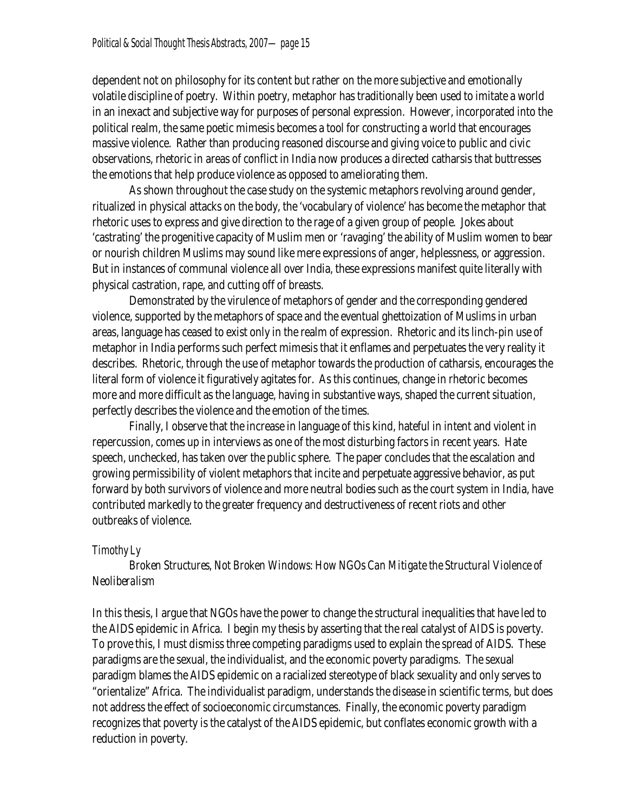dependent not on philosophy for its content but rather on the more subjective and emotionally volatile discipline of poetry. Within poetry, metaphor has traditionally been used to imitate a world in an inexact and subjective way for purposes of personal expression. However, incorporated into the political realm, the same poetic mimesis becomes a tool for constructing a world thatencourages massive violence. Rather than producing reasoned discourse and giving voice to public and civic observations, rhetoric in areas of conflict in India now produces a directed catharsis that buttresses the emotions that help produce violence as opposed to ameliorating them.

As shown throughout the case study on the systemic metaphors revolving around gender, ritualized in physical attacks on the body, the 'vocabulary of violence' has become the metaphor that rhetoric uses to express and give direction to the rage of a given group of people. Jokes about 'castrating' the progenitive capacity of Muslim men or 'ravaging' the ability of Muslim women to bear or nourish children Muslims may sound like mere expressions of anger, helplessness, or aggression. But in instances of communal violence all over India, these expressions manifest quite literally with physical castration, rape, and cutting off of breasts.

Demonstrated by the virulence of metaphors of gender and the corresponding gendered violence, supported by the metaphors of space and the eventual ghettoization of Muslims in urban areas, language has ceased to exist only in the realm of expression. Rhetoric and its linch-pin use of metaphor in India performs such perfect mimesis that itenflames and perpetuates the very reality it describes. Rhetoric, through the use of metaphor towards the production of catharsis, encourages the literal form of violence it figuratively agitates for. As this continues, change in rhetoric becomes more and more difficult as the language, having in substantive ways, shaped the current situation, perfectly describes the violence and the emotion of the times.

Finally, I observe that the increase in language of this kind, hateful in intent and violent in repercussion, comes up in interviews as one of the most disturbing factors in recent years. Hate speech, unchecked, has taken over the public sphere. The paper concludes that the escalation and growing permissibility of violent metaphors that incite and perpetuate aggressive behavior, as put forward by both survivors of violence and more neutral bodies such as the court system in India, have contributed markedly to the greater frequency and destructiveness of recent riots and other outbreaks of violence.

# **Timothy Ly**

# *Broken Structures, Not Broken Windows: How NGOs Can Mitigate the Structural Violence of Neoliberalism*

In this thesis, I argue that NGOs have the power to change the structural inequalities that have led to the AIDS epidemic in Africa. I begin my thesis by asserting that the real catalyst of AIDS is poverty. To prove this, I must dismiss three competing paradigms used to explain the spread of AIDS. These paradigms are the sexual, the individualist, and the economic poverty paradigms. The sexual paradigm blames the AIDS epidemic on a racialized stereotype of black sexuality and only serves to "orientalize" Africa. The individualist paradigm, understands the disease in scientific terms, but does not address the effect of socioeconomic circumstances. Finally, the economic poverty paradigm recognizes that poverty is the catalyst of the AIDS epidemic, but conflates economic growth with a reduction in poverty.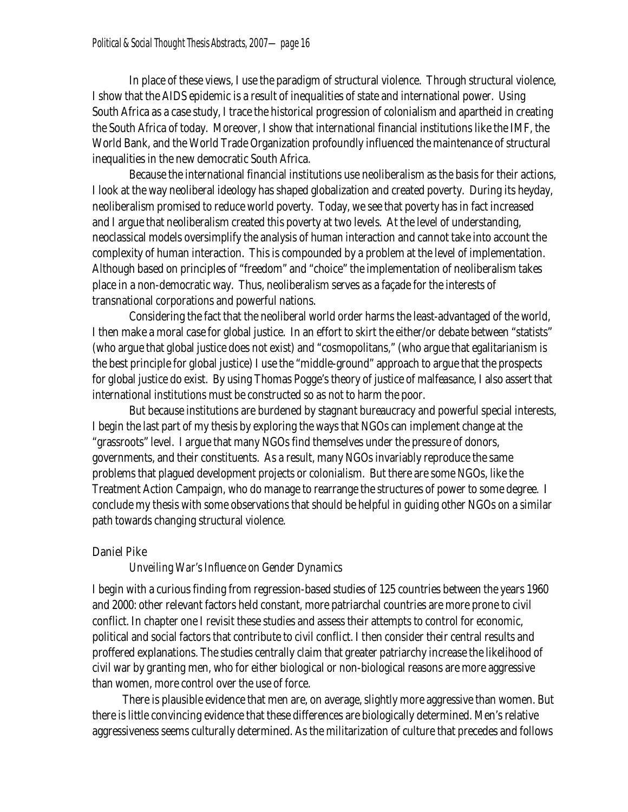In place of these views, I use the paradigm of structural violence. Through structural violence, I show that the AIDS epidemic is a result of inequalities of state and international power. Using South Africa as a case study, I trace the historical progression of colonialism and apartheid in creating the South Africa of today. Moreover, I show that international financial institutions like the IMF, the World Bank, and the World Trade Organization profoundly influenced the maintenance of structural inequalities in the new democratic South Africa.

Because the international financial institutions use neoliberalism as the basis for their actions, I look at the way neoliberal ideology has shaped globalization and created poverty. During its heyday, neoliberalism promised to reduce world poverty. Today, we see that poverty has in fact increased and I argue that neoliberalism created this poverty at two levels. At the level of understanding, neoclassical models oversimplify the analysis of human interaction and cannot take into account the complexity of human interaction. This is compounded by a problem at the level of implementation. Although based on principles of "freedom" and "choice" the implementation of neoliberalism takes place in a non-democratic way. Thus, neoliberalism serves as a façade for the interests of transnational corporations and powerful nations.

Considering the fact that the neoliberal world order harms the least-advantaged of the world, I then make a moral case for global justice. In an effort to skirt the either/or debate between "statists" (who argue that global justice does not exist) and "cosmopolitans," (who argue that egalitarianism is the best principle for global justice) I use the "middle-ground" approach to argue that the prospects for global justice do exist. By using Thomas Pogge's theory of justice of malfeasance, I also assert that international institutions must be constructed so as not to harm the poor.

But because institutions are burdened by stagnant bureaucracy and powerful special interests, I begin the last part of my thesis by exploring the ways that NGOs can implement change at the "grassroots" level. I argue that many NGOs find themselves under the pressure of donors, governments, and their constituents. As a result, many NGOs invariably reproduce the same problems that plagued development projects or colonialism. But there are some NGOs, like the Treatment Action Campaign, who do manage to rearrange the structures of power to some degree. I conclude my thesis with some observations that should be helpful in guiding other NGOs on a similar path towards changing structural violence.

# **Daniel Pike**

# *Unveiling War's Influence on Gender Dynamics*

I begin with a curious finding from regression-based studies of 125 countries between the years 1960 and 2000: other relevant factors held constant, more patriarchal countries are more prone to civil conflict. In chapter one I revisit these studies and assess their attempts to control foreconomic, political and social factors that contribute to civil conflict. I then consider their central results and proffered explanations. The studies centrally claim that greater patriarchy increase the likelihood of civil war by granting men, who foreither biological or non-biological reasons are more aggressive than women, more control over the use of force.

 There is plausible evidence that men are, on average, slightly more aggressive than women. But there is little convincing evidence that these differences are biologically determined. Men's relative aggressiveness seems culturally determined. As the militarization of culture that precedes and follows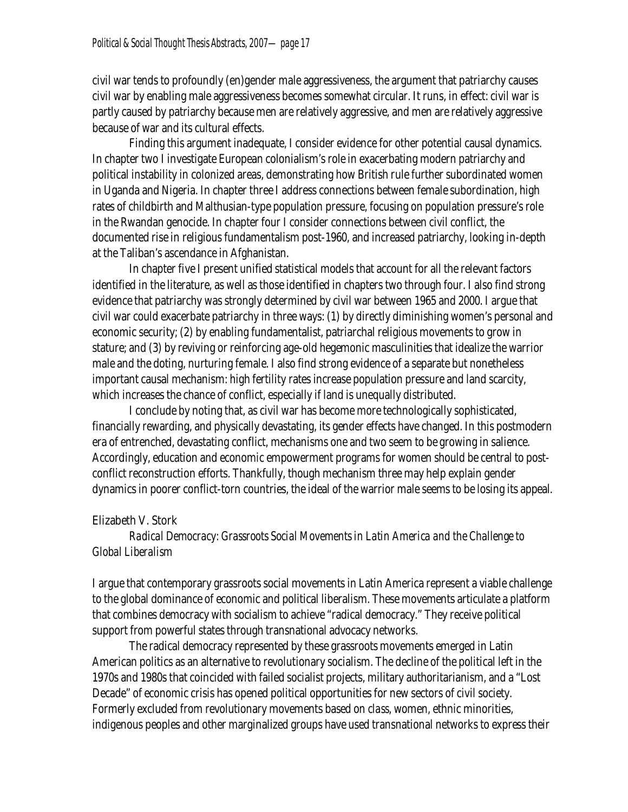civil war tends to profoundly (en)gender male aggressiveness, the argument that patriarchy causes civil war by enabling male aggressiveness becomes somewhat circular. It runs, in effect: civil war is partly caused by patriarchy because men are relatively aggressive, and men are relatively aggressive because of war and its cultural effects.

Finding this argument inadequate, I consider evidence for other potential causal dynamics. In chapter two I investigate European colonialism's role in exacerbating modern patriarchy and political instability in colonized areas, demonstrating how British rule further subordinated women in Uganda and Nigeria. In chapter three I address connections between female subordination, high rates of childbirth and Malthusian-type population pressure, focusing on population pressure's role in the Rwandan genocide. In chapter four I consider connections between civil conflict, the documented rise in religious fundamentalism post-1960, and increased patriarchy, looking in-depth at the Taliban's ascendance in Afghanistan.

In chapter five I present unified statistical models that account for all the relevant factors identified in the literature, as well as those identified in chapters two through four. I also find strong evidence that patriarchy was strongly determined by civil war between 1965 and 2000. I argue that civil war could exacerbate patriarchy in three ways: (1) by directly diminishing women's personal and economic security; (2) by enabling fundamentalist, patriarchal religious movements to grow in stature; and (3) by reviving or reinforcing age-old hegemonic masculinities that idealize the warrior male and the doting, nurturing female. I also find strong evidence of a separate but nonetheless important causal mechanism: high fertility rates increase population pressure and land scarcity, which increases the chance of conflict, especially if land is unequally distributed.

Iconclude by noting that, as civil war has become moretechnologically sophisticated, financially rewarding, and physically devastating, its gendereffects have changed. In this postmodern era of entrenched, devastating conflict, mechanisms one and two seem to be growing in salience. Accordingly, education and economic empowerment programs for women should be central to postconflict reconstruction efforts. Thankfully, though mechanism three may help explain gender dynamics in poorer conflict-torn countries, the ideal of the warrior male seems to be losing its appeal.

### **Elizabeth V. Stork**

# *Radical Democracy: Grassroots Social Movements in Latin America and the Challenge to Global Liberalism*

I argue that contemporary grassroots social movements in Latin America represent a viable challenge to the global dominance of economic and political liberalism. These movements articulate a platform that combines democracy with socialism to achieve "radical democracy." They receive political support from powerful states through transnational advocacy networks.

The radical democracy represented by these grassroots movements emerged in Latin American politics as an alternative to revolutionary socialism. The decline of the political left in the 1970s and 1980s that coincided with failed socialist projects, military authoritarianism, and a "Lost Decade" of economic crisis has opened political opportunities for new sectors of civil society. Formerly excluded from revolutionary movements based on *class*, women, ethnic minorities, indigenous peoples and other marginalized groups have used transnational networks to express their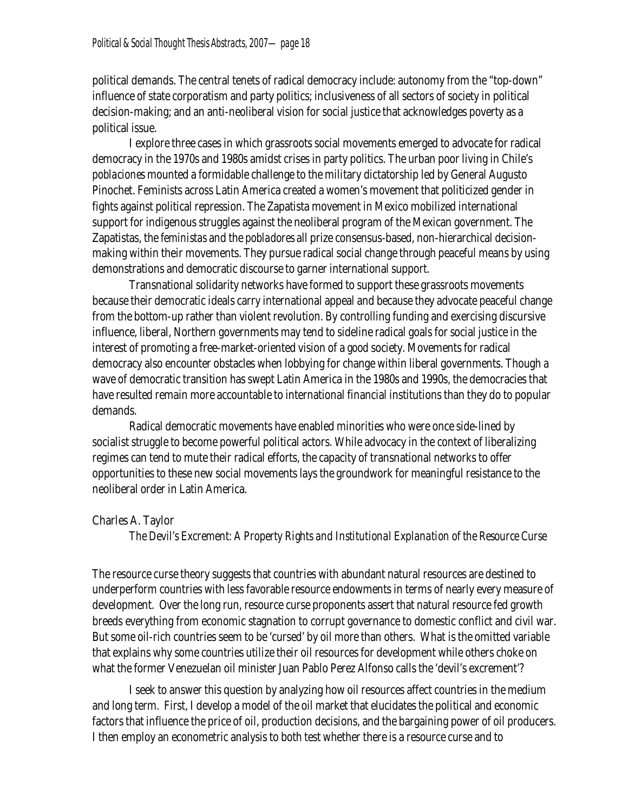political demands. The central tenets of radical democracy include: autonomy from the "top-down" influence of state corporatism and party politics; inclusiveness of all sectors of society in political decision-making; and an anti-neoliberal vision for social justice that acknowledges poverty as a political issue.

Iexplore three cases in which grassroots social movements emerged to advocate for radical democracy in the 1970s and 1980s amidst crises in party politics. The urban poor living in Chile's *poblaciones* mounted a formidable challenge to the military dictatorship led by General Augusto Pinochet. Feminists across Latin America created a women's movement that politicized gender in fights against political repression. The Zapatista movement in Mexico mobilized international support for indigenous struggles against the neoliberal program of the Mexican government. The Zapatistas, the *feministas* and the *pobladores* all prize consensus-based, non-hierarchical decisionmaking within their movements. They pursue radical social change through peaceful means by using demonstrations and democratic discourse to garner international support.

Transnational solidarity networks have formed to support these grassroots movements because their democratic ideals carry international appeal and because they advocate peaceful change from the bottom-up rather than violent revolution. By controlling funding and exercising discursive influence, liberal, Northern governments may tend to sideline radical goals for social justice in the interest of promoting a free-market-oriented vision of a *good* society. Movements for radical democracy also encounter obstacles when lobbying for change within liberal governments. Though a wave of democratic transition has swept Latin America in the 1980s and 1990s, the democracies that have resulted remain more accountable to international financial institutions than they do to popular demands.

Radical democratic movements have enabled minorities who were once side-lined by socialist struggle to become powerful political actors. While advocacy in the context of liberalizing regimes can tend to mute their radical efforts, the capacity of transnational networks to offer opportunities to these new social movements lays the groundwork for meaningful resistance to the neoliberal order in Latin America.

# **Charles A. Taylor**

*The Devil's Excrement: A Property Rights and Institutional Explanation of the Resource Curse* 

The resource curse theory suggests that countries with abundant natural resources are destined to underperform countries with less favorable resource endowments in terms of nearly every measure of development. Over the long run, resource curse proponents assert that natural resource fed growth breeds everything from economic stagnation to corrupt governance to domestic conflict and civil war. But some oil-rich countries seem to be 'cursed' by oil more than others. What is the omitted variable that explains why some countries utilize their oil resources for development while others choke on what the former Venezuelan oil minister Juan Pablo Perez Alfonso calls the 'devil's excrement'?

I seek to answer this question by analyzing how oil resources affect countries in the medium and long term. First, I develop a model of the oil market that elucidates the political and economic factors that influence the price of oil, production decisions, and the bargaining power of oil producers. I then employ an econometric analysis to both test whether there is a resource curse and to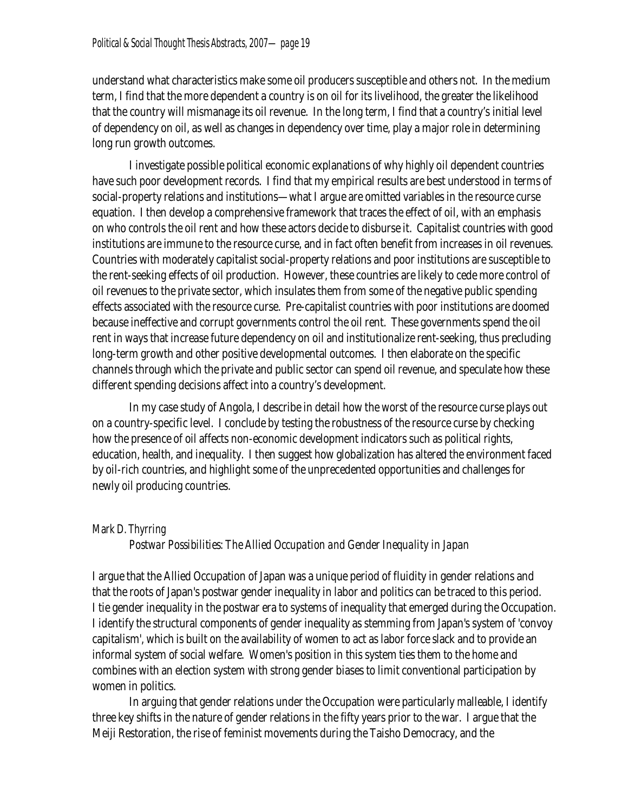understand what characteristics make some oil producers susceptible and others not. In the medium term, I find that the more dependent a country is on oil for its livelihood, the greater the likelihood that the country will mismanage its oil revenue. In the long term, I find that a country's initial level of dependency on oil, as well as changes in dependency over time, play a major role in determining long run growth outcomes.

I investigate possible political economicexplanations of why highly oil dependent countries have such poor development records. I find that my empirical results are best understood in terms of social-property relations and institutions—what I argue are omitted variables in the resource curse equation. I then develop a comprehensive framework that traces the effect of oil, with an emphasis on who controls the oil rent and how these actors decide to disburse it. Capitalist countries with good institutions are immune to the resource curse, and in fact often benefit from increases in oil revenues. Countries with moderately capitalist social-property relations and poor institutions are susceptible to the rent-seeking effects of oil production. However, these countries are likely to cede more control of oil revenues to the private sector, which insulates them from some of the negative public spending effects associated with the resource curse. Pre-capitalist countries with poor institutions are doomed because ineffective and corrupt governments control the oil rent. These governments spend the oil rent in ways that increase future dependency on oil and institutionalize rent-seeking, thus precluding long-term growth and other positive developmental outcomes. I then elaborate on the specific channels through which the private and public sector can spend oil revenue, and speculate how these different spending decisions affect into a country's development.

In my case study of Angola, I describe in detail how the worst of the resource curse plays out on a country-specific level. I conclude by testing the robustness of the resource curse by checking how the presence of oil affects non-economic development indicators such as political rights, education, health, and inequality. I then suggest how globalization has altered the environment faced by oil-rich countries, and highlight some of the unprecedented opportunities and challenges for newly oil producing countries.

# **Mark D. Thyrring**

# *Postwar Possibilities: The Allied Occupation and Gender Inequality in Japan*

I argue that the Allied Occupation of Japan was a unique period of fluidity in gender relations and that the roots of Japan's postwar gender inequality in labor and politics can be traced to this period. I tie gender inequality in the postwar era to systems of inequality that emerged during the Occupation. I identify the structural components of gender inequality as stemming from Japan's system of 'convoy capitalism', which is built on the availability of women to act as labor force slack and to provide an informal system of social welfare. Women's position in this system ties them to the home and combines with an election system with strong gender biases to limit conventional participation by women in politics.

In arguing that gender relations under the Occupation were particularly malleable, I identify three key shifts in the nature of gender relations in the fifty years prior to the war. I argue that the Meiji Restoration, the rise of feminist movements during the Taisho Democracy, and the